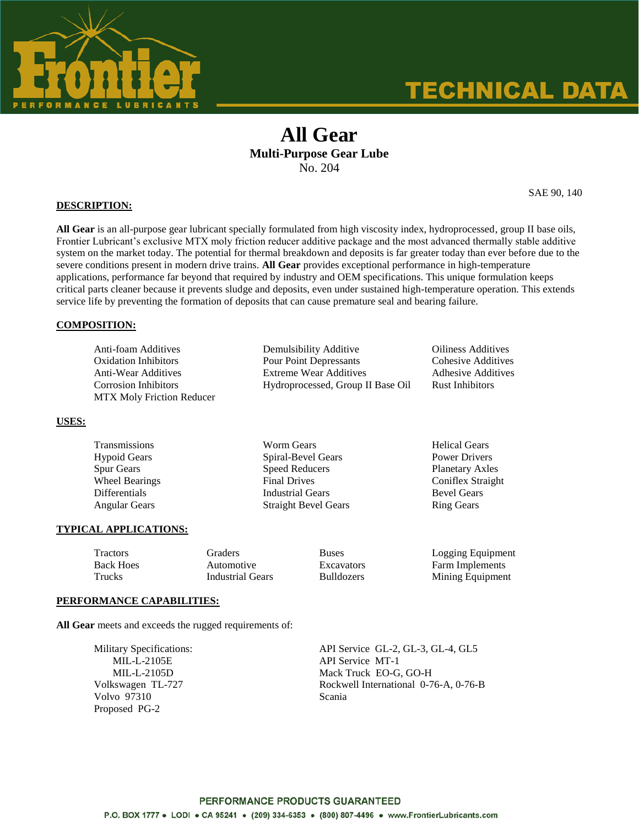

# **TECHNICAL DATA**

## **All Gear Multi-Purpose Gear Lube** No. 204

SAE 90, 140

#### **DESCRIPTION:**

**All Gear** is an all-purpose gear lubricant specially formulated from high viscosity index, hydroprocessed, group II base oils, Frontier Lubricant's exclusive MTX moly friction reducer additive package and the most advanced thermally stable additive system on the market today. The potential for thermal breakdown and deposits is far greater today than ever before due to the severe conditions present in modern drive trains. **All Gear** provides exceptional performance in high-temperature applications, performance far beyond that required by industry and OEM specifications. This unique formulation keeps critical parts cleaner because it prevents sludge and deposits, even under sustained high-temperature operation. This extends service life by preventing the formation of deposits that can cause premature seal and bearing failure.

#### **COMPOSITION:**

| Anti-foam Additives              | Dem   |
|----------------------------------|-------|
| <b>Oxidation Inhibitors</b>      | Pour  |
| Anti-Wear Additives              | Extre |
| Corrosion Inhibitors             | Hydi  |
| <b>MTX Moly Friction Reducer</b> |       |

Analysibility Additive Ciliness Additives Point Depressants Cohesive Additives eme Wear Additives **Extreme Wear Additives** roprocessed, Group II Base Oil Rust Inhibitors

**USES:**

| Transmissions         | <b>Worm Gears</b>           | <b>Helical Gears</b>   |  |
|-----------------------|-----------------------------|------------------------|--|
| Hypoid Gears          | Spiral-Bevel Gears          | Power Drivers          |  |
| Spur Gears            | <b>Speed Reducers</b>       | <b>Planetary Axles</b> |  |
| <b>Wheel Bearings</b> | <b>Final Drives</b>         | Coniflex Straight      |  |
| Differentials         | <b>Industrial Gears</b>     | <b>Bevel Gears</b>     |  |
| Angular Gears         | <b>Straight Bevel Gears</b> | <b>Ring Gears</b>      |  |
|                       |                             |                        |  |

#### **TYPICAL APPLICATIONS:**

| Tractors         | Graders          | <b>Buses</b>      | Logging Equipment      |
|------------------|------------------|-------------------|------------------------|
| <b>Back Hoes</b> | Automotive       | <b>Excavators</b> | <b>Farm Implements</b> |
| Trucks           | Industrial Gears | <b>Bulldozers</b> | Mining Equipment       |

#### **PERFORMANCE CAPABILITIES:**

**All Gear** meets and exceeds the rugged requirements of:

Volvo 97310 Scania Proposed PG-2

Military Specifications: API Service GL-2, GL-3, GL-4, GL5 MIL-L-2105E API Service MT-1 MIL-L-2105D Mack Truck EO-G, GO-H Volkswagen TL-727 Rockwell International 0-76-A, 0-76-B